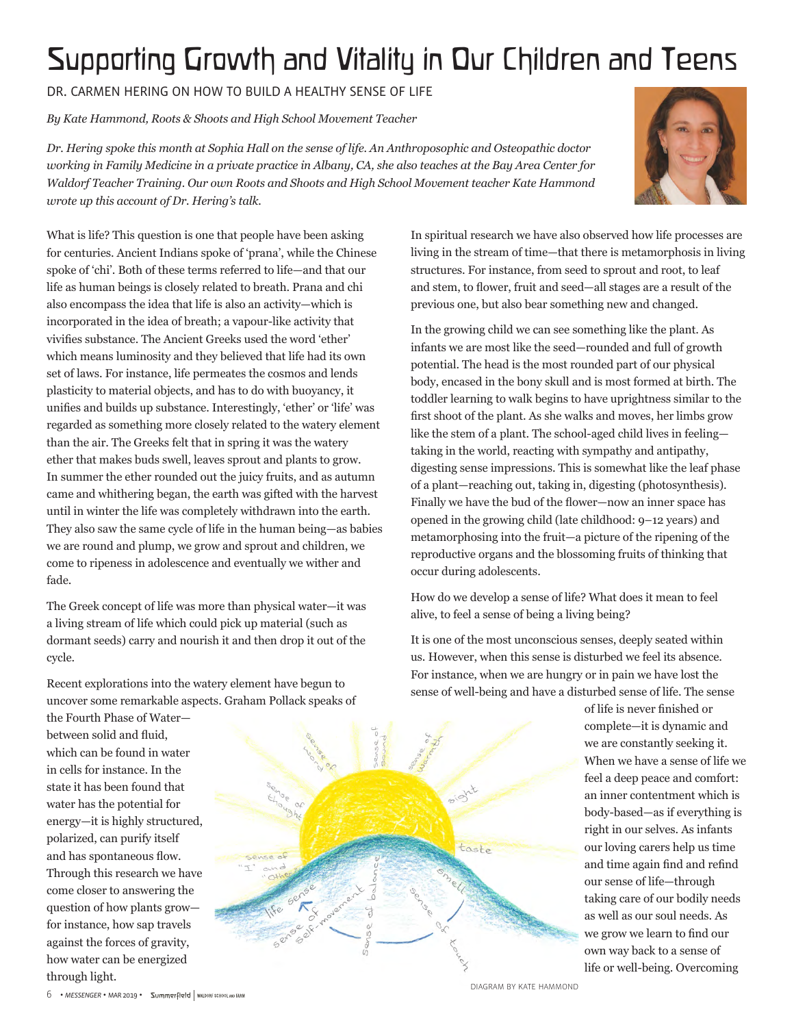## Supporting Growth and Vitality in Our Children and Teens

dr. carmen hering on how to build <sup>a</sup> healthy sense of life

*BK, CARMEN FIERING ON HOW TO BOILD A FIERLIFT SENSE OF LIFE*<br>By Kate Hammond, Roots & Shoots and High School Movement Teacher

Dr. Hering spoke this month at Sophia Hall on the sense of life. An Anthroposophic and Osteopathic doctor *working in Family Medicine in a private practice in Albany, CA, she also teaches at the Bay Area Center for Waldorf Teacher Training. Our own Roots and Shoots and High School Movement teacher Kate Hammond wrote up this account of Dr. Hering's talk.* 



What is life? This question is one that people have been asking for centuries. Ancient Indians spoke of 'prana', while the Chinese spoke of 'chi'. Both of these terms referred to life—and that our life as human beings is closely related to breath. Prana and chi also encompass the idea that life is also an activity—which is incorporated in the idea of breath; a vapour-like activity that vivifies substance. The Ancient Greeks used the word 'ether' which means luminosity and they believed that life had its own set of laws. For instance, life permeates the cosmos and lends plasticity to material objects, and has to do with buoyancy, it unifies and builds up substance. Interestingly, 'ether' or 'life' was regarded as something more closely related to the watery element than the air. The Greeks felt that in spring it was the watery ether that makes buds swell, leaves sprout and plants to grow. In summer the ether rounded out the juicy fruits, and as autumn came and whithering began, the earth was gifted with the harvest until in winter the life was completely withdrawn into the earth. They also saw the same cycle of life in the human being—as babies we are round and plump, we grow and sprout and children, we come to ripeness in adolescence and eventually we wither and fade.

The Greek concept of life was more than physical water—it was a living stream of life which could pick up material (such as dormant seeds) carry and nourish it and then drop it out of the cycle.

Recent explorations into the watery element have begun to uncover some remarkable aspects. Graham Pollack speaks of

the Fourth Phase of Water between solid and fluid, which can be found in water in cells for instance. In the state it has been found that water has the potential for energy—it is highly structured, polarized, can purify itself and has spontaneous flow. Through this research we have come closer to answering the question of how plants grow for instance, how sap travels against the forces of gravity, how water can be energized through light.



question is one that people have been asking **the sum of the search we** have also observed how life processes are living in the stream of time—that there is metamorphosis in living structures. For instance, from seed to sprout and root, to leaf and stem, to flower, fruit and seed—all stages are a result of the previous one, but also bear something new and changed. trains medical studies and result of the studies. facture for the International Physician Medical Physician Medical Physician Medical Physician Medical Physician Medical Physician Medical Physician Medical Physician Medical Physician Medical Physician Medical Physician Me

In the growing child we can see something like the plant. As in the growing ciniu we can see something like the plant. As<br>infants we are most like the seed—rounded and full of growth mans we dre most me the board Tounded and ran or growth. body, encased in the bony skull and is most formed at birth. The toddler learning to walk begins to have uprightness similar to the first shoot of the plant. As she walks and moves, her limbs grow like the stem of a plant. The school-aged child lives in feeling taking in the world, reacting with sympathy and antipathy, digesting sense impressions. This is somewhat like the leaf phase of a plant—reaching out, taking in, digesting (photosynthesis). Finally we have the bud of the flower—now an inner space has opened in the growing child (late childhood: 9–12 years) and metamorphosing into the fruit—a picture of the ripening of the reproductive organs and the blossoming fruits of thinking that occur during adolescents.

How do we develop a sense of life? What does it mean to feel alive, to feel a sense of being a living being?

It is one of the most unconscious senses, deeply seated within us. However, when this sense is disturbed we feel its absence. For instance, when we are hungry or in pain we have lost the sense of well-being and have a disturbed sense of life. The sense

> of life is never finished or complete—it is dynamic and we are constantly seeking it. When we have a sense of life we feel a deep peace and comfort: an inner contentment which is body-based—as if everything is right in our selves. As infants our loving carers help us time and time again find and refind our sense of life—through taking care of our bodily needs as well as our soul needs. As we grow we learn to find our own way back to a sense of life or well-being. Overcoming